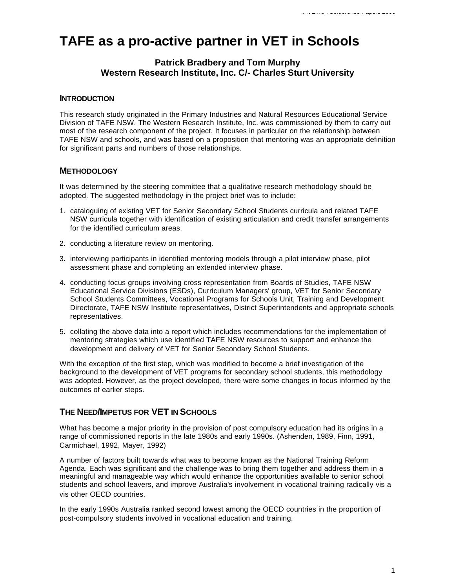# **TAFE as a pro-active partner in VET in Schools**

## **Patrick Bradbery and Tom Murphy Western Research Institute, Inc. C/- Charles Sturt University**

## **INTRODUCTION**

This research study originated in the Primary Industries and Natural Resources Educational Service Division of TAFE NSW. The Western Research Institute, Inc. was commissioned by them to carry out most of the research component of the project. It focuses in particular on the relationship between TAFE NSW and schools, and was based on a proposition that mentoring was an appropriate definition for significant parts and numbers of those relationships.

## **METHODOLOGY**

It was determined by the steering committee that a qualitative research methodology should be adopted. The suggested methodology in the project brief was to include:

- 1. cataloguing of existing VET for Senior Secondary School Students curricula and related TAFE NSW curricula together with identification of existing articulation and credit transfer arrangements for the identified curriculum areas.
- 2. conducting a literature review on mentoring.
- 3. interviewing participants in identified mentoring models through a pilot interview phase, pilot assessment phase and completing an extended interview phase.
- 4. conducting focus groups involving cross representation from Boards of Studies, TAFE NSW Educational Service Divisions (ESDs), Curriculum Managers' group, VET for Senior Secondary School Students Committees, Vocational Programs for Schools Unit, Training and Development Directorate, TAFE NSW Institute representatives, District Superintendents and appropriate schools representatives.
- 5. collating the above data into a report which includes recommendations for the implementation of mentoring strategies which use identified TAFE NSW resources to support and enhance the development and delivery of VET for Senior Secondary School Students.

With the exception of the first step, which was modified to become a brief investigation of the background to the development of VET programs for secondary school students, this methodology was adopted. However, as the project developed, there were some changes in focus informed by the outcomes of earlier steps.

# **THE NEED/IMPETUS FOR VET IN SCHOOLS**

What has become a major priority in the provision of post compulsory education had its origins in a range of commissioned reports in the late 1980s and early 1990s. (Ashenden, 1989, Finn, 1991, Carmichael, 1992, Mayer, 1992)

A number of factors built towards what was to become known as the National Training Reform Agenda. Each was significant and the challenge was to bring them together and address them in a meaningful and manageable way which would enhance the opportunities available to senior school students and school leavers, and improve Australia's involvement in vocational training radically vis a vis other OECD countries.

In the early 1990s Australia ranked second lowest among the OECD countries in the proportion of post-compulsory students involved in vocational education and training.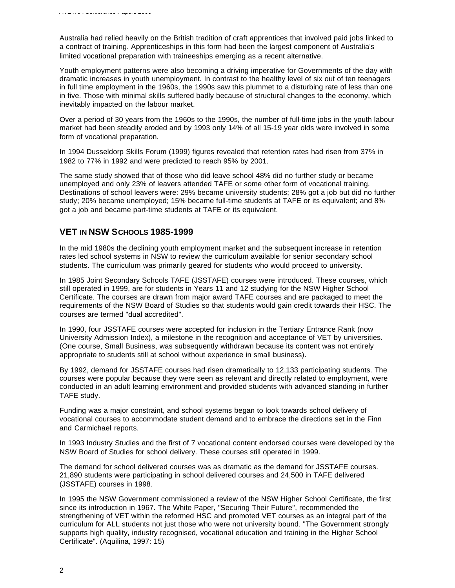Australia had relied heavily on the British tradition of craft apprentices that involved paid jobs linked to a contract of training. Apprenticeships in this form had been the largest component of Australia's limited vocational preparation with traineeships emerging as a recent alternative.

Youth employment patterns were also becoming a driving imperative for Governments of the day with dramatic increases in youth unemployment. In contrast to the healthy level of six out of ten teenagers in full time employment in the 1960s, the 1990s saw this plummet to a disturbing rate of less than one in five. Those with minimal skills suffered badly because of structural changes to the economy, which inevitably impacted on the labour market.

Over a period of 30 years from the 1960s to the 1990s, the number of full-time jobs in the youth labour market had been steadily eroded and by 1993 only 14% of all 15-19 year olds were involved in some form of vocational preparation.

In 1994 Dusseldorp Skills Forum (1999) figures revealed that retention rates had risen from 37% in 1982 to 77% in 1992 and were predicted to reach 95% by 2001.

The same study showed that of those who did leave school 48% did no further study or became unemployed and only 23% of leavers attended TAFE or some other form of vocational training. Destinations of school leavers were: 29% became university students; 28% got a job but did no further study; 20% became unemployed; 15% became full-time students at TAFE or its equivalent; and 8% got a job and became part-time students at TAFE or its equivalent.

## **VET IN NSW SCHOOLS 1985-1999**

In the mid 1980s the declining youth employment market and the subsequent increase in retention rates led school systems in NSW to review the curriculum available for senior secondary school students. The curriculum was primarily geared for students who would proceed to university.

In 1985 Joint Secondary Schools TAFE (JSSTAFE) courses were introduced. These courses, which still operated in 1999, are for students in Years 11 and 12 studying for the NSW Higher School Certificate. The courses are drawn from major award TAFE courses and are packaged to meet the requirements of the NSW Board of Studies so that students would gain credit towards their HSC. The courses are termed "dual accredited".

In 1990, four JSSTAFE courses were accepted for inclusion in the Tertiary Entrance Rank (now University Admission Index), a milestone in the recognition and acceptance of VET by universities. (One course, Small Business, was subsequently withdrawn because its content was not entirely appropriate to students still at school without experience in small business).

By 1992, demand for JSSTAFE courses had risen dramatically to 12,133 participating students. The courses were popular because they were seen as relevant and directly related to employment, were conducted in an adult learning environment and provided students with advanced standing in further TAFE study.

Funding was a major constraint, and school systems began to look towards school delivery of vocational courses to accommodate student demand and to embrace the directions set in the Finn and Carmichael reports.

In 1993 Industry Studies and the first of 7 vocational content endorsed courses were developed by the NSW Board of Studies for school delivery. These courses still operated in 1999.

The demand for school delivered courses was as dramatic as the demand for JSSTAFE courses. 21,890 students were participating in school delivered courses and 24,500 in TAFE delivered (JSSTAFE) courses in 1998.

In 1995 the NSW Government commissioned a review of the NSW Higher School Certificate, the first since its introduction in 1967. The White Paper, "Securing Their Future", recommended the strengthening of VET within the reformed HSC and promoted VET courses as an integral part of the curriculum for ALL students not just those who were not university bound. "The Government strongly supports high quality, industry recognised, vocational education and training in the Higher School Certificate". (Aquilina, 1997: 15)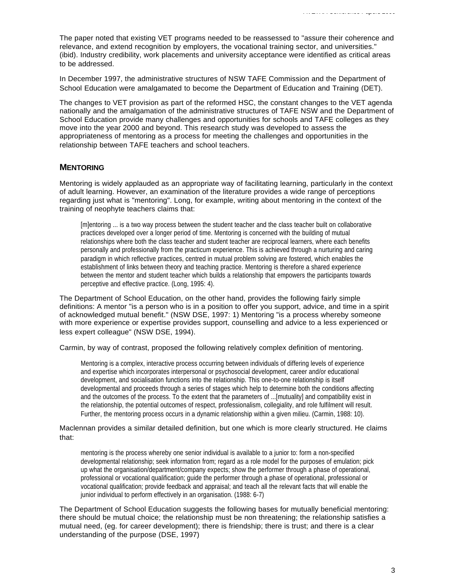The paper noted that existing VET programs needed to be reassessed to "assure their coherence and relevance, and extend recognition by employers, the vocational training sector, and universities." (ibid). Industry credibility, work placements and university acceptance were identified as critical areas to be addressed.

In December 1997, the administrative structures of NSW TAFE Commission and the Department of School Education were amalgamated to become the Department of Education and Training (DET).

The changes to VET provision as part of the reformed HSC, the constant changes to the VET agenda nationally and the amalgamation of the administrative structures of TAFE NSW and the Department of School Education provide many challenges and opportunities for schools and TAFE colleges as they move into the year 2000 and beyond. This research study was developed to assess the appropriateness of mentoring as a process for meeting the challenges and opportunities in the relationship between TAFE teachers and school teachers.

#### **MENTORING**

Mentoring is widely applauded as an appropriate way of facilitating learning, particularly in the context of adult learning. However, an examination of the literature provides a wide range of perceptions regarding just what is "mentoring". Long, for example, writing about mentoring in the context of the training of neophyte teachers claims that:

[m]entoring ... is a two way process between the student teacher and the class teacher built on collaborative practices developed over a longer period of time. Mentoring is concerned with the building of mutual relationships where both the class teacher and student teacher are reciprocal learners, where each benefits personally and professionally from the practicum experience. This is achieved through a nurturing and caring paradigm in which reflective practices, centred in mutual problem solving are fostered, which enables the establishment of links between theory and teaching practice. Mentoring is therefore a shared experience between the mentor and student teacher which builds a relationship that empowers the participants towards perceptive and effective practice. (Long, 1995: 4).

The Department of School Education, on the other hand, provides the following fairly simple definitions: A mentor "is a person who is in a position to offer you support, advice, and time in a spirit of acknowledged mutual benefit." (NSW DSE, 1997: 1) Mentoring "is a process whereby someone with more experience or expertise provides support, counselling and advice to a less experienced or less expert colleague" (NSW DSE, 1994).

Carmin, by way of contrast, proposed the following relatively complex definition of mentoring.

Mentoring is a complex, interactive process occurring between individuals of differing levels of experience and expertise which incorporates interpersonal or psychosocial development, career and/or educational development, and socialisation functions into the relationship. This one-to-one relationship is itself developmental and proceeds through a series of stages which help to determine both the conditions affecting and the outcomes of the process. To the extent that the parameters of ...[mutuality] and compatibility exist in the relationship, the potential outcomes of respect, professionalism, collegiality, and role fulfilment will result. Further, the mentoring process occurs in a dynamic relationship within a given milieu. (Carmin, 1988: 10).

#### Maclennan provides a similar detailed definition, but one which is more clearly structured. He claims that:

mentoring is the process whereby one senior individual is available to a junior to: form a non-specified developmental relationship; seek information from; regard as a role model for the purposes of emulation; pick up what the organisation/department/company expects; show the performer through a phase of operational, professional or vocational qualification; guide the performer through a phase of operational, professional or vocational qualification; provide feedback and appraisal; and teach all the relevant facts that will enable the junior individual to perform effectively in an organisation. (1988: 6-7)

The Department of School Education suggests the following bases for mutually beneficial mentoring: there should be mutual choice; the relationship must be non threatening; the relationship satisfies a mutual need, (eg. for career development); there is friendship; there is trust; and there is a clear understanding of the purpose (DSE, 1997)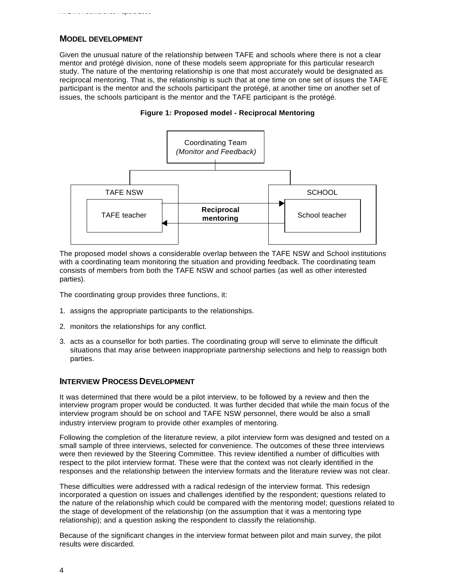*AVETRA Conference Papers 2000*

Given the unusual nature of the relationship between TAFE and schools where there is not a clear mentor and protégé division, none of these models seem appropriate for this particular research study. The nature of the mentoring relationship is one that most accurately would be designated as reciprocal mentoring. That is, the relationship is such that at one time on one set of issues the TAFE participant is the mentor and the schools participant the protégé, at another time on another set of issues, the schools participant is the mentor and the TAFE participant is the protégé.





The proposed model shows a considerable overlap between the TAFE NSW and School institutions with a coordinating team monitoring the situation and providing feedback. The coordinating team consists of members from both the TAFE NSW and school parties (as well as other interested parties).

The coordinating group provides three functions, it:

- 1. assigns the appropriate participants to the relationships.
- 2. monitors the relationships for any conflict.
- 3. acts as a counsellor for both parties. The coordinating group will serve to eliminate the difficult situations that may arise between inappropriate partnership selections and help to reassign both parties.

## **INTERVIEW PROCESS DEVELOPMENT**

It was determined that there would be a pilot interview, to be followed by a review and then the interview program proper would be conducted. It was further decided that while the main focus of the interview program should be on school and TAFE NSW personnel, there would be also a small industry interview program to provide other examples of mentoring.

Following the completion of the literature review, a pilot interview form was designed and tested on a small sample of three interviews, selected for convenience. The outcomes of these three interviews were then reviewed by the Steering Committee. This review identified a number of difficulties with respect to the pilot interview format. These were that the context was not clearly identified in the responses and the relationship between the interview formats and the literature review was not clear.

These difficulties were addressed with a radical redesign of the interview format. This redesign incorporated a question on issues and challenges identified by the respondent; questions related to the nature of the relationship which could be compared with the mentoring model; questions related to the stage of development of the relationship (on the assumption that it was a mentoring type relationship); and a question asking the respondent to classify the relationship.

Because of the significant changes in the interview format between pilot and main survey, the pilot results were discarded.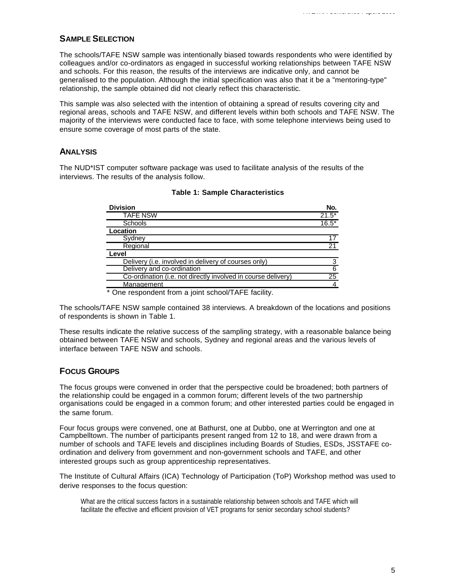## **SAMPLE SELECTION**

The schools/TAFE NSW sample was intentionally biased towards respondents who were identified by colleagues and/or co-ordinators as engaged in successful working relationships between TAFE NSW and schools. For this reason, the results of the interviews are indicative only, and cannot be generalised to the population. Although the initial specification was also that it be a "mentoring-type" relationship, the sample obtained did not clearly reflect this characteristic.

This sample was also selected with the intention of obtaining a spread of results covering city and regional areas, schools and TAFE NSW, and different levels within both schools and TAFE NSW. The majority of the interviews were conducted face to face, with some telephone interviews being used to ensure some coverage of most parts of the state.

## **ANALYSIS**

The NUD\*IST computer software package was used to facilitate analysis of the results of the interviews. The results of the analysis follow.

| <b>Division</b>                                               | No.            |
|---------------------------------------------------------------|----------------|
| TAFE NSW                                                      | $21.5*$        |
| <b>Schools</b>                                                | $16.5*$        |
| Location                                                      |                |
| Sydney                                                        | 17             |
| Regional                                                      | 21             |
| Level                                                         |                |
| Delivery (i.e. involved in delivery of courses only)          | 3              |
| Delivery and co-ordination                                    | $\overline{6}$ |
| Co-ordination (i.e. not directly involved in course delivery) | 25             |
| Management                                                    |                |
| * One respondent from a joint school/TAFE facility.           |                |

#### **Table 1: Sample Characteristics**

The schools/TAFE NSW sample contained 38 interviews. A breakdown of the locations and positions of respondents is shown in Table 1.

These results indicate the relative success of the sampling strategy, with a reasonable balance being obtained between TAFE NSW and schools, Sydney and regional areas and the various levels of interface between TAFE NSW and schools.

## **FOCUS GROUPS**

The focus groups were convened in order that the perspective could be broadened; both partners of the relationship could be engaged in a common forum; different levels of the two partnership organisations could be engaged in a common forum; and other interested parties could be engaged in the same forum.

Four focus groups were convened, one at Bathurst, one at Dubbo, one at Werrington and one at Campbelltown. The number of participants present ranged from 12 to 18, and were drawn from a number of schools and TAFE levels and disciplines including Boards of Studies, ESDs, JSSTAFE coordination and delivery from government and non-government schools and TAFE, and other interested groups such as group apprenticeship representatives.

The Institute of Cultural Affairs (ICA) Technology of Participation (ToP) Workshop method was used to derive responses to the focus question:

What are the critical success factors in a sustainable relationship between schools and TAFE which will facilitate the effective and efficient provision of VET programs for senior secondary school students?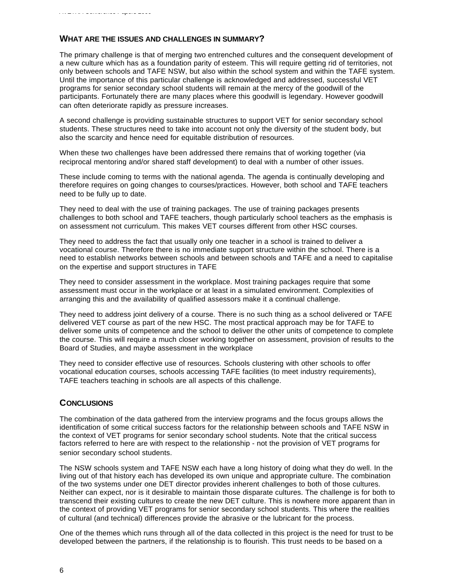## **WHAT ARE THE ISSUES AND CHALLENGES IN SUMMARY?**

The primary challenge is that of merging two entrenched cultures and the consequent development of a new culture which has as a foundation parity of esteem. This will require getting rid of territories, not only between schools and TAFE NSW, but also within the school system and within the TAFE system. Until the importance of this particular challenge is acknowledged and addressed, successful VET programs for senior secondary school students will remain at the mercy of the goodwill of the participants. Fortunately there are many places where this goodwill is legendary. However goodwill can often deteriorate rapidly as pressure increases.

A second challenge is providing sustainable structures to support VET for senior secondary school students. These structures need to take into account not only the diversity of the student body, but also the scarcity and hence need for equitable distribution of resources.

When these two challenges have been addressed there remains that of working together (via reciprocal mentoring and/or shared staff development) to deal with a number of other issues.

These include coming to terms with the national agenda. The agenda is continually developing and therefore requires on going changes to courses/practices. However, both school and TAFE teachers need to be fully up to date.

They need to deal with the use of training packages. The use of training packages presents challenges to both school and TAFE teachers, though particularly school teachers as the emphasis is on assessment not curriculum. This makes VET courses different from other HSC courses.

They need to address the fact that usually only one teacher in a school is trained to deliver a vocational course. Therefore there is no immediate support structure within the school. There is a need to establish networks between schools and between schools and TAFE and a need to capitalise on the expertise and support structures in TAFE

They need to consider assessment in the workplace. Most training packages require that some assessment must occur in the workplace or at least in a simulated environment. Complexities of arranging this and the availability of qualified assessors make it a continual challenge.

They need to address joint delivery of a course. There is no such thing as a school delivered or TAFE delivered VET course as part of the new HSC. The most practical approach may be for TAFE to deliver some units of competence and the school to deliver the other units of competence to complete the course. This will require a much closer working together on assessment, provision of results to the Board of Studies, and maybe assessment in the workplace

They need to consider effective use of resources. Schools clustering with other schools to offer vocational education courses, schools accessing TAFE facilities (to meet industry requirements), TAFE teachers teaching in schools are all aspects of this challenge.

#### **CONCLUSIONS**

The combination of the data gathered from the interview programs and the focus groups allows the identification of some critical success factors for the relationship between schools and TAFE NSW in the context of VET programs for senior secondary school students. Note that the critical success factors referred to here are with respect to the relationship - not the provision of VET programs for senior secondary school students.

The NSW schools system and TAFE NSW each have a long history of doing what they do well. In the living out of that history each has developed its own unique and appropriate culture. The combination of the two systems under one DET director provides inherent challenges to both of those cultures. Neither can expect, nor is it desirable to maintain those disparate cultures. The challenge is for both to transcend their existing cultures to create the new DET culture. This is nowhere more apparent than in the context of providing VET programs for senior secondary school students. This where the realities of cultural (and technical) differences provide the abrasive or the lubricant for the process.

One of the themes which runs through all of the data collected in this project is the need for trust to be developed between the partners, if the relationship is to flourish. This trust needs to be based on a